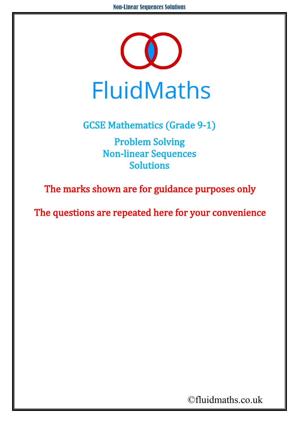

GCSE Mathematics (Grade 9-1) Problem Solving Non-linear Sequences Solutions

The marks shown are for guidance purposes only

The questions are repeated here for your convenience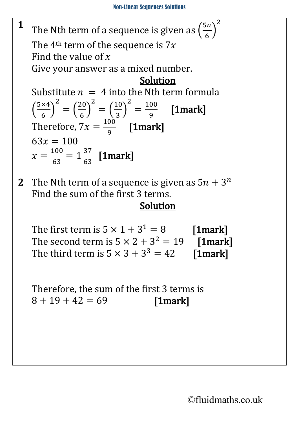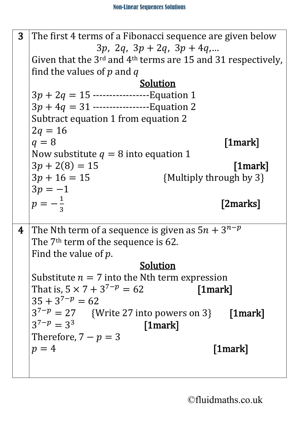| $\overline{3}$ | The first 4 terms of a Fibonacci sequence are given below              |
|----------------|------------------------------------------------------------------------|
|                | $3p, 2q, 3p + 2q, 3p + 4q, $                                           |
|                | Given that the $3^{rd}$ and $4^{th}$ terms are 15 and 31 respectively, |
|                | find the values of p and q                                             |
|                | <b>Solution</b>                                                        |
|                | $3p + 2q = 15$ ------------------Equation 1                            |
|                | $3p + 4q = 31$ -------------------Equation 2                           |
|                | Subtract equation 1 from equation 2                                    |
|                | $2q = 16$                                                              |
|                | $q=8$<br>$[1$ mark $]$                                                 |
|                | Now substitute $q = 8$ into equation 1                                 |
|                | $3p + 2(8) = 15$<br>$[1$ mark $]$                                      |
|                | $3p + 16 = 15$<br>{Multiply through by 3}                              |
|                | $3p = -1$                                                              |
|                | $p = -\frac{1}{3}$<br>[2marks]                                         |
|                |                                                                        |
|                |                                                                        |
|                |                                                                        |
| 4              | The Nth term of a sequence is given as $5n + 3^{n-p}$                  |
|                | The 7 <sup>th</sup> term of the sequence is 62.                        |
|                | Find the value of $p$ .                                                |
|                | <u>Solution</u>                                                        |
|                | Substitute $n = 7$ into the Nth term expression                        |
|                | That is, $5 \times 7 + 3^{7-p} = 62$<br>$\lfloor 1$ mark $\lfloor$     |
|                | $35 + 3^{7-p} = 62$                                                    |
|                | $3^{7-p} = 27$ {Write 27 into powers on 3} [1mark]                     |
|                | $3^{7-p} = 3^3$<br>$\lceil 1$ mark $\rceil$                            |
|                | Therefore, $7-p=3$                                                     |
|                | $[1$ mark $]$<br>$p = 4$                                               |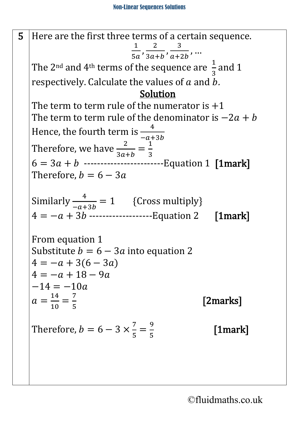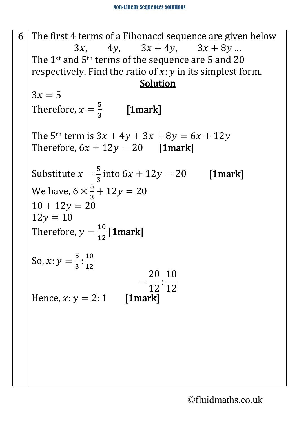